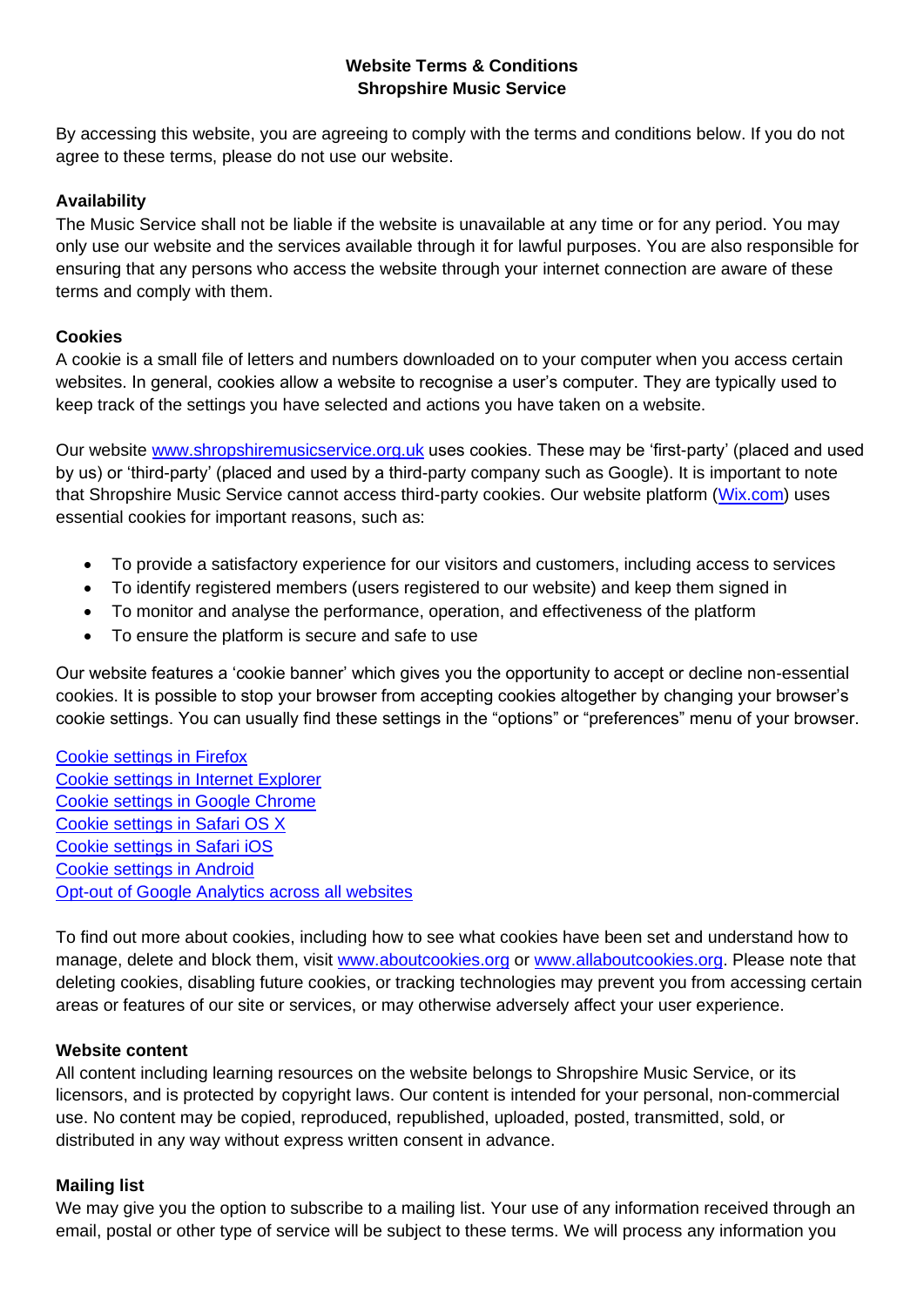# **Website Terms & Conditions Shropshire Music Service**

By accessing this website, you are agreeing to comply with the terms and conditions below. If you do not agree to these terms, please do not use our website.

## **Availability**

The Music Service shall not be liable if the website is unavailable at any time or for any period. You may only use our website and the services available through it for lawful purposes. You are also responsible for ensuring that any persons who access the website through your internet connection are aware of these terms and comply with them.

### **Cookies**

A cookie is a small file of letters and numbers downloaded on to your computer when you access certain websites. In general, cookies allow a website to recognise a user's computer. They are typically used to keep track of the settings you have selected and actions you have taken on a website.

Our website [www.shropshiremusicservice.org.uk](http://www.shropshiremusicservice.org.uk/) uses cookies. These may be 'first-party' (placed and used by us) or 'third-party' (placed and used by a third-party company such as Google). It is important to note that Shropshire Music Service cannot access third-party cookies. Our website platform [\(Wix.com\)](http://www.wix.com/) uses essential cookies for important reasons, such as:

- To provide a satisfactory experience for our visitors and customers, including access to services
- To identify registered members (users registered to our website) and keep them signed in
- To monitor and analyse the performance, operation, and effectiveness of the platform
- To ensure the platform is secure and safe to use

Our website features a 'cookie banner' which gives you the opportunity to accept or decline non-essential cookies. It is possible to stop your browser from accepting cookies altogether by changing your browser's cookie settings. You can usually find these settings in the "options" or "preferences" menu of your browser.

[Cookie settings in Firefox](https://support.mozilla.org/en-US/kb/enhanced-tracking-protection-firefox-desktop?redirectslug=Enabling+and+disabling+cookies&redirectlocale=en-US) [Cookie settings in Internet Explorer](https://support.microsoft.com/en-us/topic/delete-and-manage-cookies-168dab11-0753-043d-7c16-ede5947fc64d) [Cookie settings in Google Chrome](https://support.google.com/chrome/answer/95647) [Cookie settings in Safari OS X](https://support.apple.com/en-gb/guide/safari/sfri11471/mac) [Cookie settings in Safari iOS](https://support.apple.com/en-us/HT201265) [Cookie settings in Android](https://support.google.com/chrome/answer/95647?co=GENIE.Platform%3DAndroid&hl=en&oco=0) [Opt-out of Google Analytics across all websites](https://tools.google.com/dlpage/gaoptout)

To find out more about cookies, including how to see what cookies have been set and understand how to manage, delete and block them, visit [www.aboutcookies.org](http://www.aboutcookies.org/) or [www.allaboutcookies.org.](http://www.allaboutcookies.org/) Please note that deleting cookies, disabling future cookies, or tracking technologies may prevent you from accessing certain areas or features of our site or services, or may otherwise adversely affect your user experience.

#### **Website content**

All content including learning resources on the website belongs to Shropshire Music Service, or its licensors, and is protected by copyright laws. Our content is intended for your personal, non-commercial use. No content may be copied, reproduced, republished, uploaded, posted, transmitted, sold, or distributed in any way without express written consent in advance.

#### **Mailing list**

We may give you the option to subscribe to a mailing list. Your use of any information received through an email, postal or other type of service will be subject to these terms. We will process any information you